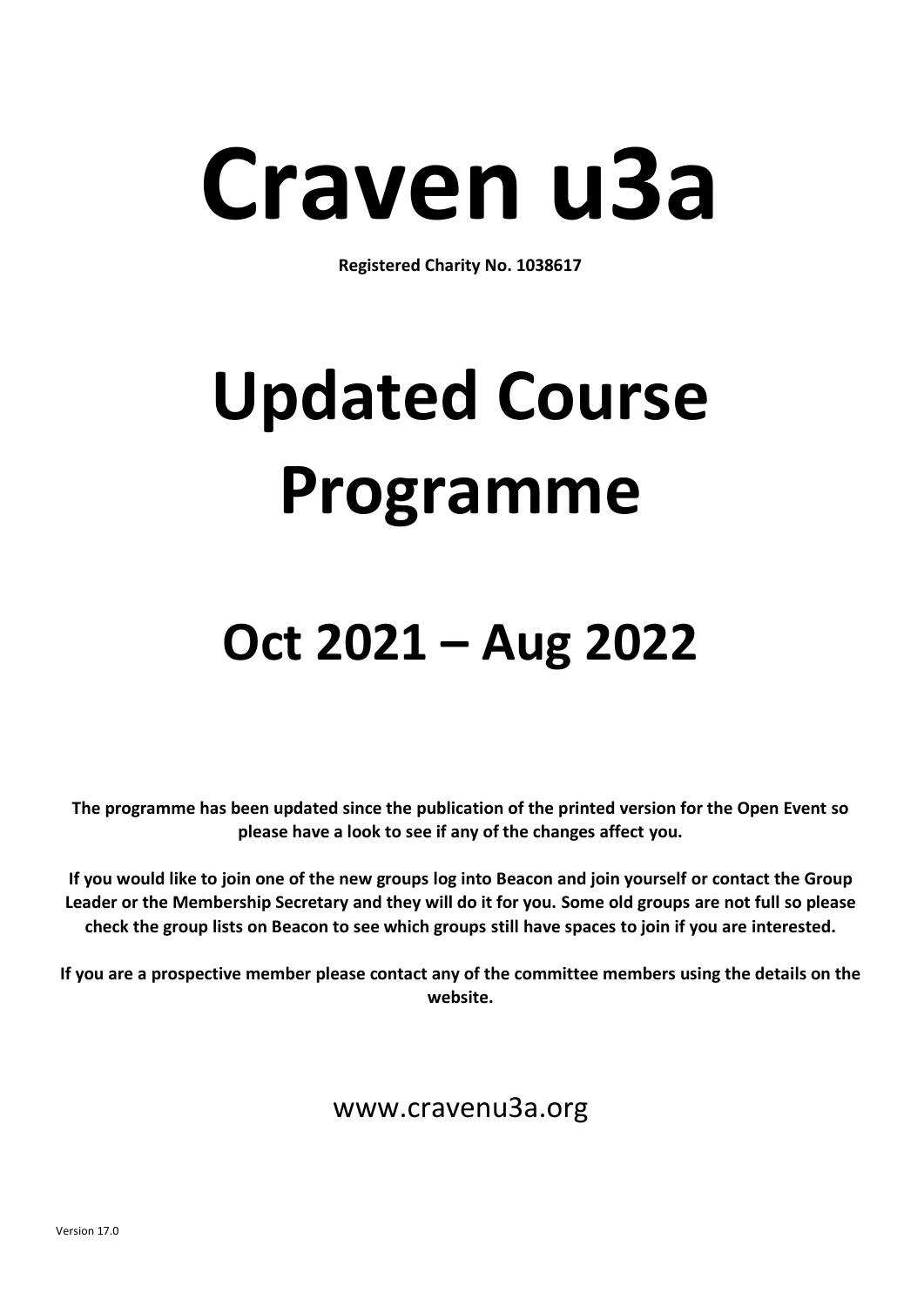# **Craven u3a**

**Registered Charity No. 1038617**

## **Updated Course Programme**

### **Oct 2021 – Aug 2022**

**The programme has been updated since the publication of the printed version for the Open Event so please have a look to see if any of the changes affect you.**

**If you would like to join one of the new groups log into Beacon and join yourself or contact the Group Leader or the Membership Secretary and they will do it for you. Some old groups are not full so please check the group lists on Beacon to see which groups still have spaces to join if you are interested.**

**If you are a prospective member please contact any of the committee members using the details on the website.**

www.cravenu3a.org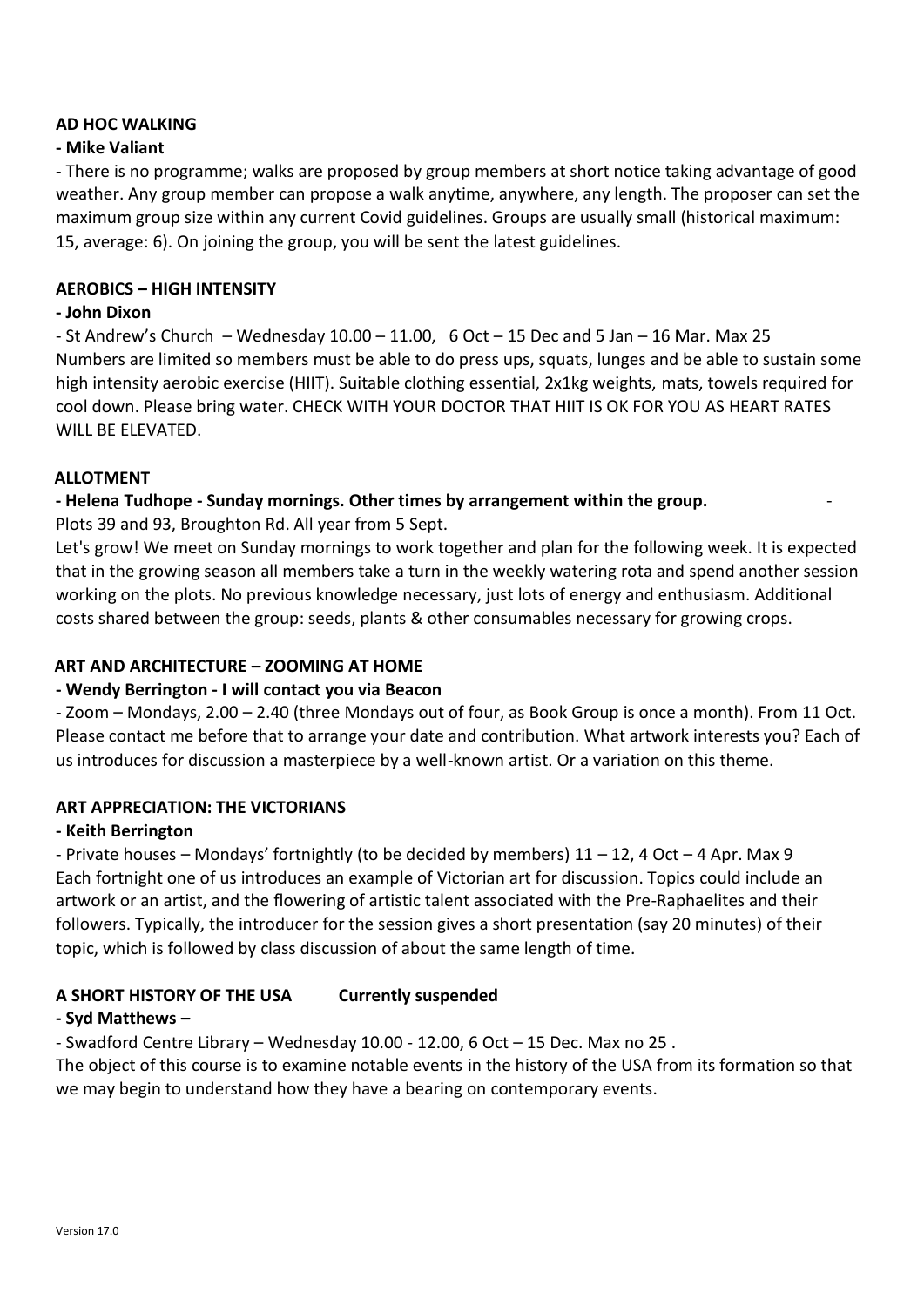#### **AD HOC WALKING**

#### **- Mike Valiant**

- There is no programme; walks are proposed by group members at short notice taking advantage of good weather. Any group member can propose a walk anytime, anywhere, any length. The proposer can set the maximum group size within any current Covid guidelines. Groups are usually small (historical maximum: 15, average: 6). On joining the group, you will be sent the latest guidelines.

#### **AEROBICS – HIGH INTENSITY**

#### **- John Dixon**

- St Andrew's Church – Wednesday  $10.00 - 11.00$ , 6 Oct – 15 Dec and 5 Jan – 16 Mar. Max 25 Numbers are limited so members must be able to do press ups, squats, lunges and be able to sustain some high intensity aerobic exercise (HIIT). Suitable clothing essential, 2x1kg weights, mats, towels required for cool down. Please bring water. CHECK WITH YOUR DOCTOR THAT HIIT IS OK FOR YOU AS HEART RATES WILL BE ELEVATED.

#### **ALLOTMENT**

#### **- Helena Tudhope - Sunday mornings. Other times by arrangement within the group.** -

Plots 39 and 93, Broughton Rd. All year from 5 Sept.

Let's grow! We meet on Sunday mornings to work together and plan for the following week. It is expected that in the growing season all members take a turn in the weekly watering rota and spend another session working on the plots. No previous knowledge necessary, just lots of energy and enthusiasm. Additional costs shared between the group: seeds, plants & other consumables necessary for growing crops.

#### **ART AND ARCHITECTURE – ZOOMING AT HOME**

#### **- Wendy Berrington - I will contact you via Beacon**

- Zoom – Mondays, 2.00 – 2.40 (three Mondays out of four, as Book Group is once a month). From 11 Oct. Please contact me before that to arrange your date and contribution. What artwork interests you? Each of us introduces for discussion a masterpiece by a well-known artist. Or a variation on this theme.

#### **ART APPRECIATION: THE VICTORIANS**

#### **- Keith Berrington**

- Private houses – Mondays' fortnightly (to be decided by members) 11 – 12, 4 Oct – 4 Apr. Max 9 Each fortnight one of us introduces an example of Victorian art for discussion. Topics could include an artwork or an artist, and the flowering of artistic talent associated with the Pre-Raphaelites and their followers. Typically, the introducer for the session gives a short presentation (say 20 minutes) of their topic, which is followed by class discussion of about the same length of time.

#### **A SHORT HISTORY OF THE USA Currently suspended**

#### **- Syd Matthews –**

- Swadford Centre Library – Wednesday 10.00 - 12.00, 6 Oct – 15 Dec. Max no 25 .

The object of this course is to examine notable events in the history of the USA from its formation so that we may begin to understand how they have a bearing on contemporary events.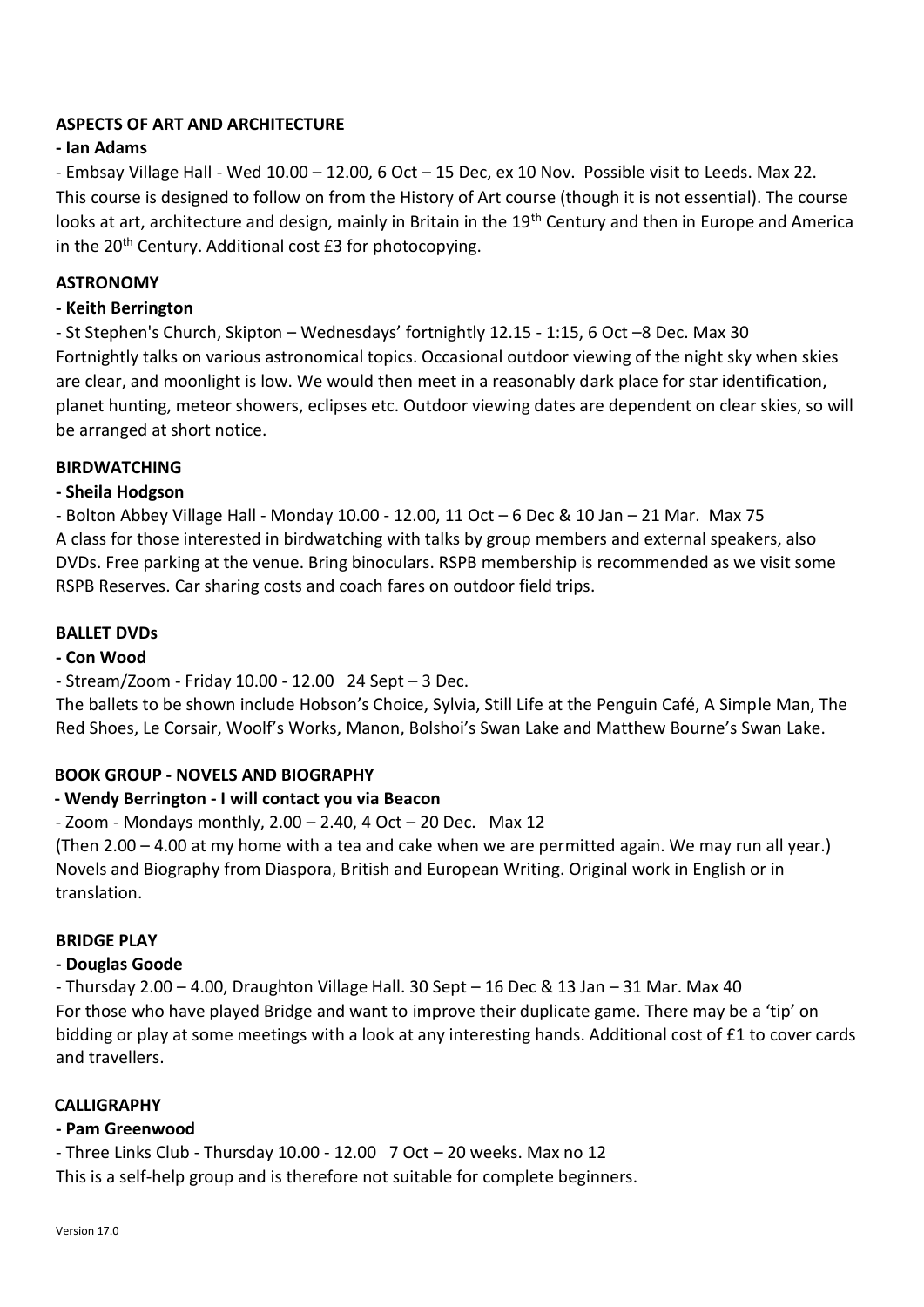#### **ASPECTS OF ART AND ARCHITECTURE**

#### **- Ian Adams**

- Embsay Village Hall - Wed 10.00 – 12.00, 6 Oct – 15 Dec, ex 10 Nov. Possible visit to Leeds. Max 22. This course is designed to follow on from the History of Art course (though it is not essential). The course looks at art, architecture and design, mainly in Britain in the 19<sup>th</sup> Century and then in Europe and America in the  $20<sup>th</sup>$  Century. Additional cost £3 for photocopying.

#### **ASTRONOMY**

#### **- Keith Berrington**

- St Stephen's Church, Skipton – Wednesdays' fortnightly 12.15 - 1:15, 6 Oct –8 Dec. Max 30 Fortnightly talks on various astronomical topics. Occasional outdoor viewing of the night sky when skies are clear, and moonlight is low. We would then meet in a reasonably dark place for star identification, planet hunting, meteor showers, eclipses etc. Outdoor viewing dates are dependent on clear skies, so will be arranged at short notice.

#### **BIRDWATCHING**

#### **- Sheila Hodgson**

- Bolton Abbey Village Hall - Monday 10.00 - 12.00, 11 Oct – 6 Dec & 10 Jan – 21 Mar. Max 75 A class for those interested in birdwatching with talks by group members and external speakers, also DVDs. Free parking at the venue. Bring binoculars. RSPB membership is recommended as we visit some RSPB Reserves. Car sharing costs and coach fares on outdoor field trips.

#### **BALLET DVDs**

#### **- Con Wood**

#### - Stream/Zoom - Friday 10.00 - 12.00 24 Sept – 3 Dec.

The ballets to be shown include Hobson's Choice, Sylvia, Still Life at the Penguin Café, A Simple Man, The Red Shoes, Le Corsair, Woolf's Works, Manon, Bolshoi's Swan Lake and Matthew Bourne's Swan Lake.

#### **BOOK GROUP - NOVELS AND BIOGRAPHY**

#### **- Wendy Berrington - I will contact you via Beacon**

 $-$  Zoom - Mondays monthly, 2.00  $-$  2.40, 4 Oct  $-$  20 Dec. Max 12

(Then 2.00 – 4.00 at my home with a tea and cake when we are permitted again. We may run all year.) Novels and Biography from Diaspora, British and European Writing. Original work in English or in translation.

#### **BRIDGE PLAY**

#### **- Douglas Goode**

- Thursday 2.00 – 4.00, Draughton Village Hall. 30 Sept – 16 Dec & 13 Jan – 31 Mar. Max 40 For those who have played Bridge and want to improve their duplicate game. There may be a 'tip' on bidding or play at some meetings with a look at any interesting hands. Additional cost of £1 to cover cards and travellers.

#### **CALLIGRAPHY**

#### **- Pam Greenwood**

- Three Links Club - Thursday 10.00 - 12.00 7 Oct – 20 weeks. Max no 12 This is a self-help group and is therefore not suitable for complete beginners.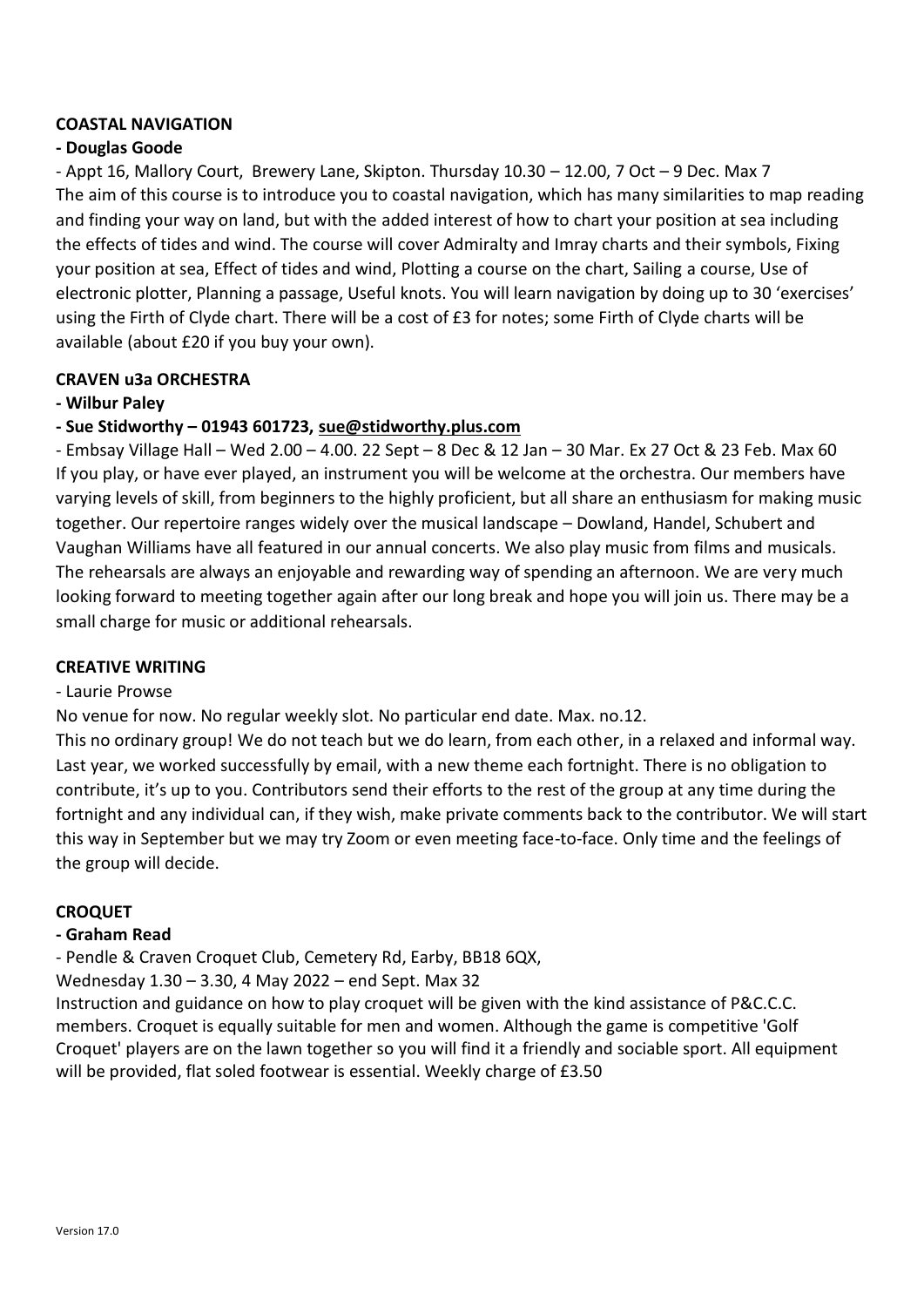#### **COASTAL NAVIGATION**

#### **- Douglas Goode**

- Appt 16, Mallory Court, Brewery Lane, Skipton. Thursday 10.30 – 12.00, 7 Oct – 9 Dec. Max 7 The aim of this course is to introduce you to coastal navigation, which has many similarities to map reading and finding your way on land, but with the added interest of how to chart your position at sea including the effects of tides and wind. The course will cover Admiralty and Imray charts and their symbols, Fixing your position at sea, Effect of tides and wind, Plotting a course on the chart, Sailing a course, Use of electronic plotter, Planning a passage, Useful knots. You will learn navigation by doing up to 30 'exercises' using the Firth of Clyde chart. There will be a cost of £3 for notes; some Firth of Clyde charts will be available (about £20 if you buy your own).

#### **CRAVEN u3a ORCHESTRA**

#### **- Wilbur Paley**

#### **- Sue Stidworthy – 01943 601723, [sue@stidworthy.plus.com](mailto:sue@stidworthy.plus.com)**

- Embsay Village Hall – Wed 2.00 – 4.00. 22 Sept – 8 Dec & 12 Jan – 30 Mar. Ex 27 Oct & 23 Feb. Max 60 If you play, or have ever played, an instrument you will be welcome at the orchestra. Our members have varying levels of skill, from beginners to the highly proficient, but all share an enthusiasm for making music together. Our repertoire ranges widely over the musical landscape – Dowland, Handel, Schubert and Vaughan Williams have all featured in our annual concerts. We also play music from films and musicals. The rehearsals are always an enjoyable and rewarding way of spending an afternoon. We are very much looking forward to meeting together again after our long break and hope you will join us. There may be a small charge for music or additional rehearsals.

#### **CREATIVE WRITING**

#### - Laurie Prowse

No venue for now. No regular weekly slot. No particular end date. Max. no.12.

This no ordinary group! We do not teach but we do learn, from each other, in a relaxed and informal way. Last year, we worked successfully by email, with a new theme each fortnight. There is no obligation to contribute, it's up to you. Contributors send their efforts to the rest of the group at any time during the fortnight and any individual can, if they wish, make private comments back to the contributor. We will start this way in September but we may try Zoom or even meeting face-to-face. Only time and the feelings of the group will decide.

#### **CROQUET**

#### **- Graham Read**

- Pendle & Craven Croquet Club, Cemetery Rd, Earby, BB18 6QX,

Wednesday 1.30 – 3.30, 4 May 2022 – end Sept. Max 32

Instruction and guidance on how to play croquet will be given with the kind assistance of P&C.C.C. members. Croquet is equally suitable for men and women. Although the game is competitive 'Golf Croquet' players are on the lawn together so you will find it a friendly and sociable sport. All equipment will be provided, flat soled footwear is essential. Weekly charge of £3.50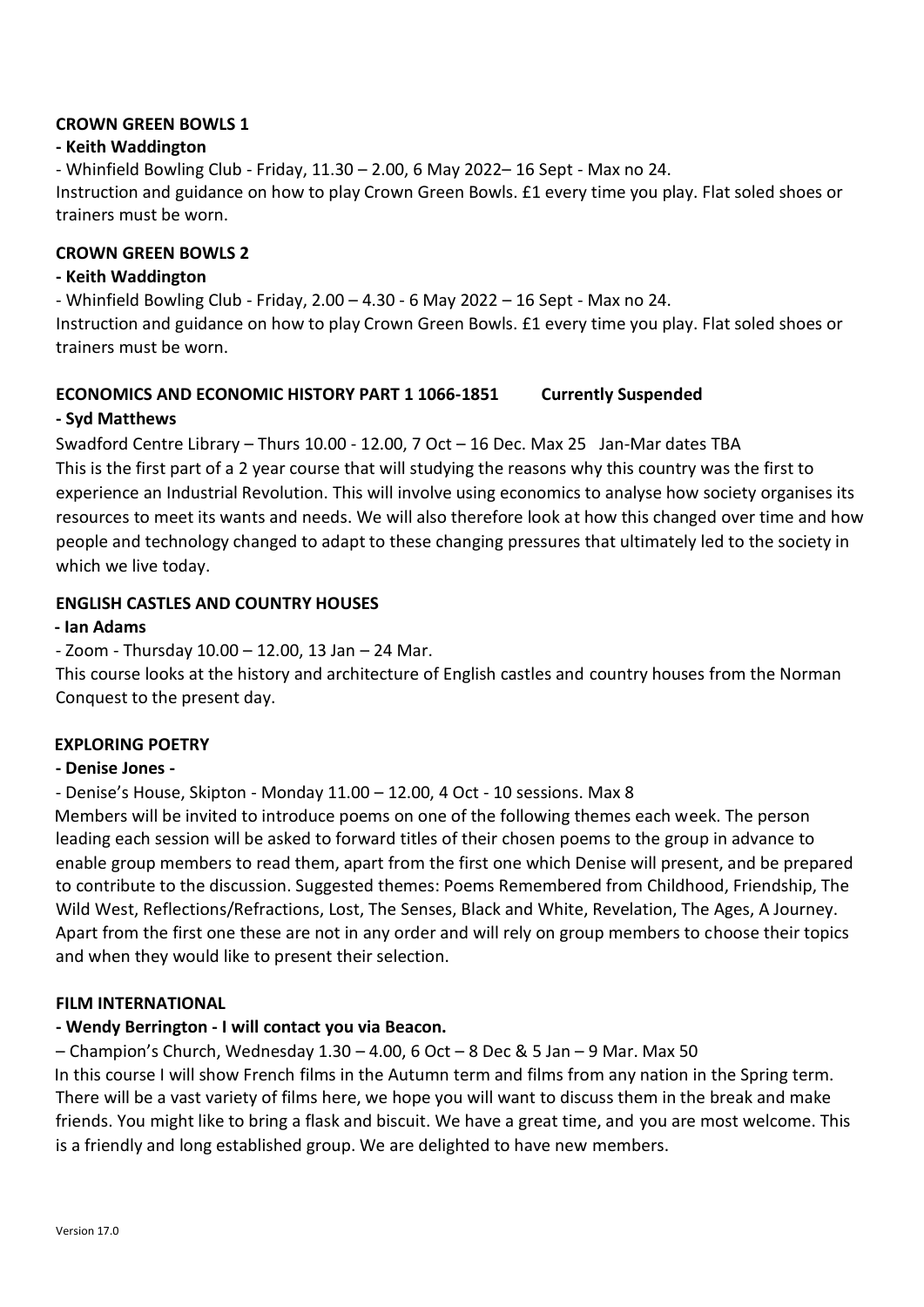#### **CROWN GREEN BOWLS 1**

#### **- Keith Waddington**

- Whinfield Bowling Club - Friday, 11.30 – 2.00, 6 May 2022– 16 Sept - Max no 24. Instruction and guidance on how to play Crown Green Bowls. £1 every time you play. Flat soled shoes or trainers must be worn.

#### **CROWN GREEN BOWLS 2**

#### **- Keith Waddington**

- Whinfield Bowling Club - Friday, 2.00 – 4.30 - 6 May 2022 – 16 Sept - Max no 24. Instruction and guidance on how to play Crown Green Bowls. £1 every time you play. Flat soled shoes or trainers must be worn.

#### **ECONOMICS AND ECONOMIC HISTORY PART 1 1066-1851 Currently Suspended**

#### **- Syd Matthews**

Swadford Centre Library – Thurs 10.00 - 12.00, 7 Oct – 16 Dec. Max 25 Jan-Mar dates TBA This is the first part of a 2 year course that will studying the reasons why this country was the first to experience an Industrial Revolution. This will involve using economics to analyse how society organises its resources to meet its wants and needs. We will also therefore look at how this changed over time and how people and technology changed to adapt to these changing pressures that ultimately led to the society in which we live today.

#### **ENGLISH CASTLES AND COUNTRY HOUSES**

#### **- Ian Adams**

- Zoom - Thursday 10.00 – 12.00, 13 Jan – 24 Mar.

This course looks at the history and architecture of English castles and country houses from the Norman Conquest to the present day.

#### **EXPLORING POETRY**

#### **- Denise Jones -**

- Denise's House, Skipton - Monday 11.00 – 12.00, 4 Oct - 10 sessions. Max 8

Members will be invited to introduce poems on one of the following themes each week. The person leading each session will be asked to forward titles of their chosen poems to the group in advance to enable group members to read them, apart from the first one which Denise will present, and be prepared to contribute to the discussion. Suggested themes: Poems Remembered from Childhood, Friendship, The Wild West, Reflections/Refractions, Lost, The Senses, Black and White, Revelation, The Ages, A Journey. Apart from the first one these are not in any order and will rely on group members to choose their topics and when they would like to present their selection.

#### **FILM INTERNATIONAL**

#### **- Wendy Berrington - I will contact you via Beacon.**

 $-$  Champion's Church, Wednesday 1.30  $-$  4.00, 6 Oct  $-$  8 Dec & 5 Jan  $-$  9 Mar. Max 50 In this course I will show French films in the Autumn term and films from any nation in the Spring term. There will be a vast variety of films here, we hope you will want to discuss them in the break and make friends. You might like to bring a flask and biscuit. We have a great time, and you are most welcome. This is a friendly and long established group. We are delighted to have new members.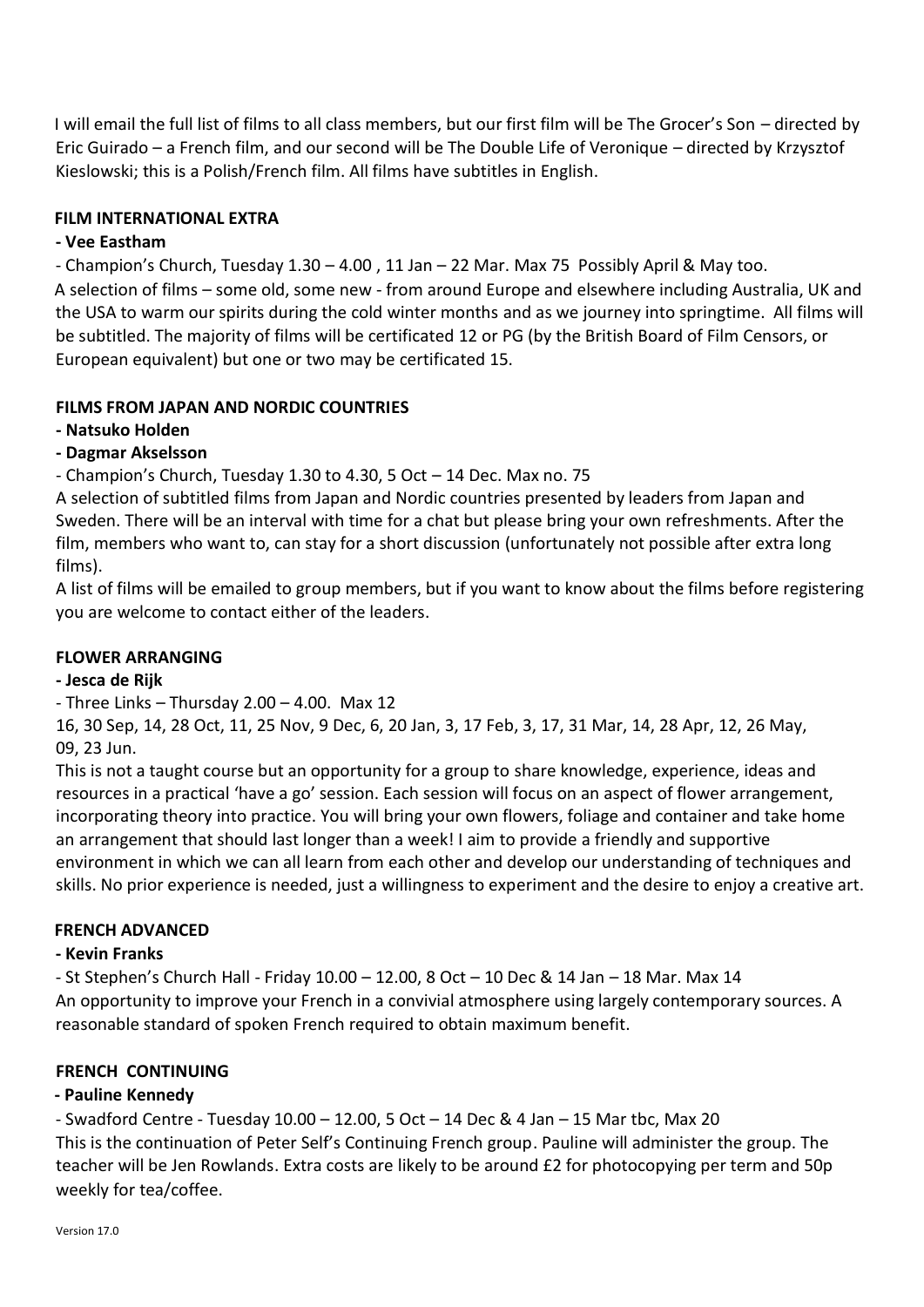I will email the full list of films to all class members, but our first film will be The Grocer's Son – directed by Eric Guirado – a French film, and our second will be The Double Life of Veronique – directed by Krzysztof Kieslowski; this is a Polish/French film. All films have subtitles in English.

#### **FILM INTERNATIONAL EXTRA**

#### **- Vee Eastham**

- Champion's Church, Tuesday 1.30 – 4.00 , 11 Jan – 22 Mar. Max 75 Possibly April & May too. A selection of films – some old, some new - from around Europe and elsewhere including Australia, UK and the USA to warm our spirits during the cold winter months and as we journey into springtime. All films will be subtitled. The majority of films will be certificated 12 or PG (by the British Board of Film Censors, or European equivalent) but one or two may be certificated 15.

#### **FILMS FROM JAPAN AND NORDIC COUNTRIES**

#### **- Natsuko Holden**

#### **- Dagmar Akselsson**

- Champion's Church, Tuesday 1.30 to 4.30, 5 Oct – 14 Dec. Max no. 75

A selection of subtitled films from Japan and Nordic countries presented by leaders from Japan and Sweden. There will be an interval with time for a chat but please bring your own refreshments. After the film, members who want to, can stay for a short discussion (unfortunately not possible after extra long films).

A list of films will be emailed to group members, but if you want to know about the films before registering you are welcome to contact either of the leaders.

#### **FLOWER ARRANGING**

#### **- Jesca de Rijk**

- Three Links - Thursday  $2.00 - 4.00$ . Max 12

16, 30 Sep, 14, 28 Oct, 11, 25 Nov, 9 Dec, 6, 20 Jan, 3, 17 Feb, 3, 17, 31 Mar, 14, 28 Apr, 12, 26 May, 09, 23 Jun.

This is not a taught course but an opportunity for a group to share knowledge, experience, ideas and resources in a practical 'have a go' session. Each session will focus on an aspect of flower arrangement, incorporating theory into practice. You will bring your own flowers, foliage and container and take home an arrangement that should last longer than a week! I aim to provide a friendly and supportive environment in which we can all learn from each other and develop our understanding of techniques and skills. No prior experience is needed, just a willingness to experiment and the desire to enjoy a creative art.

#### **FRENCH ADVANCED**

#### **- Kevin Franks**

- St Stephen's Church Hall - Friday 10.00 – 12.00, 8 Oct – 10 Dec & 14 Jan – 18 Mar. Max 14 An opportunity to improve your French in a convivial atmosphere using largely contemporary sources. A reasonable standard of spoken French required to obtain maximum benefit.

#### **FRENCH CONTINUING**

#### **- Pauline Kennedy**

- Swadford Centre - Tuesday 10.00 – 12.00, 5 Oct – 14 Dec & 4 Jan – 15 Mar tbc, Max 20 This is the continuation of Peter Self's Continuing French group. Pauline will administer the group. The teacher will be Jen Rowlands. Extra costs are likely to be around £2 for photocopying per term and 50p weekly for tea/coffee.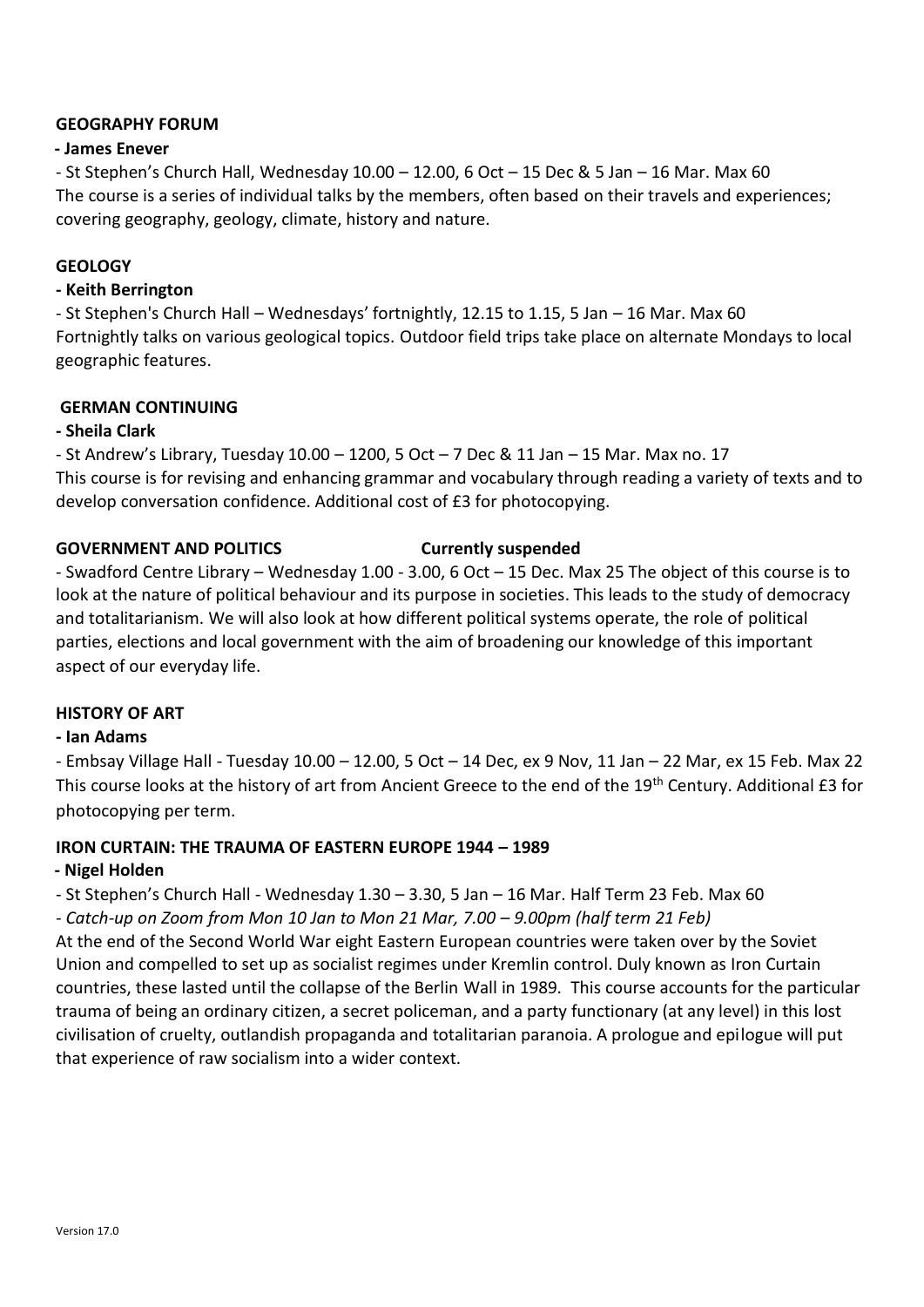#### **GEOGRAPHY FORUM**

#### **- James Enever**

- St Stephen's Church Hall, Wednesday 10.00 – 12.00, 6 Oct – 15 Dec & 5 Jan – 16 Mar. Max 60 The course is a series of individual talks by the members, often based on their travels and experiences; covering geography, geology, climate, history and nature.

#### **GEOLOGY**

#### **- Keith Berrington**

- St Stephen's Church Hall – Wednesdays' fortnightly, 12.15 to 1.15, 5 Jan – 16 Mar. Max 60 Fortnightly talks on various geological topics. Outdoor field trips take place on alternate Mondays to local geographic features.

#### **GERMAN CONTINUING**

#### **- Sheila Clark**

- St Andrew's Library, Tuesday 10.00 – 1200, 5 Oct – 7 Dec & 11 Jan – 15 Mar. Max no. 17 This course is for revising and enhancing grammar and vocabulary through reading a variety of texts and to develop conversation confidence. Additional cost of £3 for photocopying.

#### **GOVERNMENT AND POLITICS Currently suspended**

- Swadford Centre Library – Wednesday 1.00 - 3.00, 6 Oct – 15 Dec. Max 25 The object of this course is to look at the nature of political behaviour and its purpose in societies. This leads to the study of democracy and totalitarianism. We will also look at how different political systems operate, the role of political parties, elections and local government with the aim of broadening our knowledge of this important aspect of our everyday life.

#### **HISTORY OF ART**

#### **- Ian Adams**

- Embsay Village Hall - Tuesday 10.00 – 12.00, 5 Oct – 14 Dec, ex 9 Nov, 11 Jan – 22 Mar, ex 15 Feb. Max 22 This course looks at the history of art from Ancient Greece to the end of the 19<sup>th</sup> Century. Additional £3 for photocopying per term.

#### **IRON CURTAIN: THE TRAUMA OF EASTERN EUROPE 1944 – 1989**

#### **- Nigel Holden**

- St Stephen's Church Hall - Wednesday 1.30 – 3.30, 5 Jan – 16 Mar. Half Term 23 Feb. Max 60

*- Catch-up on Zoom from Mon 10 Jan to Mon 21 Mar, 7.00 – 9.00pm (half term 21 Feb)* At the end of the Second World War eight Eastern European countries were taken over by the Soviet Union and compelled to set up as socialist regimes under Kremlin control. Duly known as Iron Curtain countries, these lasted until the collapse of the Berlin Wall in 1989. This course accounts for the particular trauma of being an ordinary citizen, a secret policeman, and a party functionary (at any level) in this lost civilisation of cruelty, outlandish propaganda and totalitarian paranoia. A prologue and epilogue will put that experience of raw socialism into a wider context.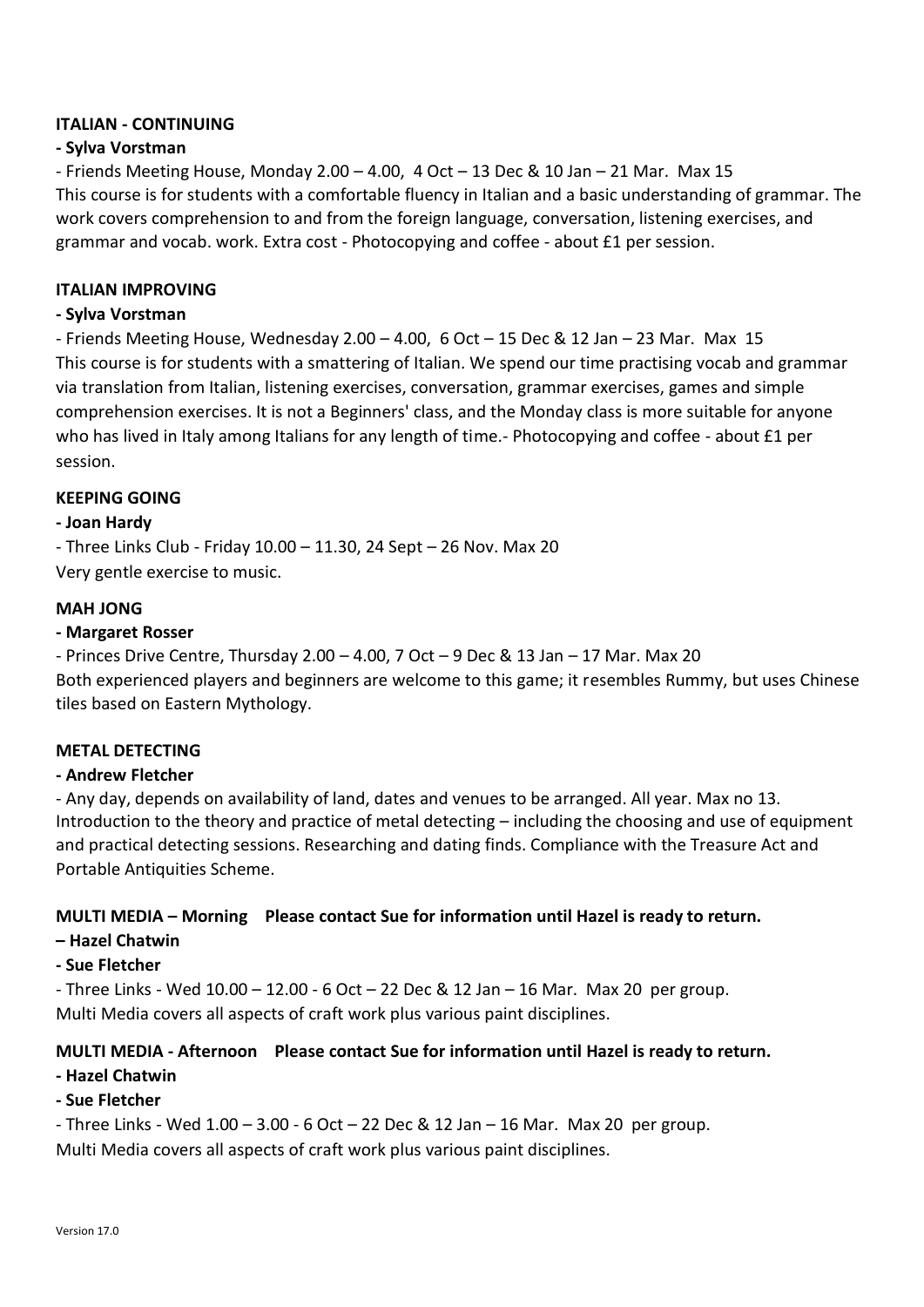#### **ITALIAN - CONTINUING**

#### **- Sylva Vorstman**

- Friends Meeting House, Monday  $2.00 - 4.00$ ,  $4 Oct - 13 Dec & 10 Jan - 21 Mar. Max 15$ This course is for students with a comfortable fluency in Italian and a basic understanding of grammar. The work covers comprehension to and from the foreign language, conversation, listening exercises, and grammar and vocab. work. Extra cost - Photocopying and coffee - about £1 per session.

#### **ITALIAN IMPROVING**

#### **- Sylva Vorstman**

- Friends Meeting House, Wednesday 2.00 – 4.00, 6 Oct – 15 Dec & 12 Jan – 23 Mar. Max 15 This course is for students with a smattering of Italian. We spend our time practising vocab and grammar via translation from Italian, listening exercises, conversation, grammar exercises, games and simple comprehension exercises. It is not a Beginners' class, and the Monday class is more suitable for anyone who has lived in Italy among Italians for any length of time.- Photocopying and coffee - about £1 per session.

#### **KEEPING GOING**

#### **- Joan Hardy**

- Three Links Club - Friday 10.00 – 11.30, 24 Sept – 26 Nov. Max 20 Very gentle exercise to music.

#### **MAH JONG**

#### **- Margaret Rosser**

- Princes Drive Centre, Thursday 2.00 – 4.00, 7 Oct – 9 Dec & 13 Jan – 17 Mar. Max 20 Both experienced players and beginners are welcome to this game; it resembles Rummy, but uses Chinese tiles based on Eastern Mythology.

#### **METAL DETECTING**

#### **- Andrew Fletcher**

- Any day, depends on availability of land, dates and venues to be arranged. All year. Max no 13. Introduction to the theory and practice of metal detecting – including the choosing and use of equipment and practical detecting sessions. Researching and dating finds. Compliance with the Treasure Act and Portable Antiquities Scheme.

#### **MULTI MEDIA – Morning Please contact Sue for information until Hazel is ready to return.**

- **– Hazel Chatwin**
- **- Sue Fletcher**

- Three Links - Wed 10.00 – 12.00 - 6 Oct – 22 Dec & 12 Jan – 16 Mar. Max 20 per group. Multi Media covers all aspects of craft work plus various paint disciplines.

#### **MULTI MEDIA - Afternoon Please contact Sue for information until Hazel is ready to return.**

**- Hazel Chatwin** 

#### **- Sue Fletcher**

- Three Links - Wed 1.00 – 3.00 - 6 Oct – 22 Dec & 12 Jan – 16 Mar. Max 20 per group. Multi Media covers all aspects of craft work plus various paint disciplines.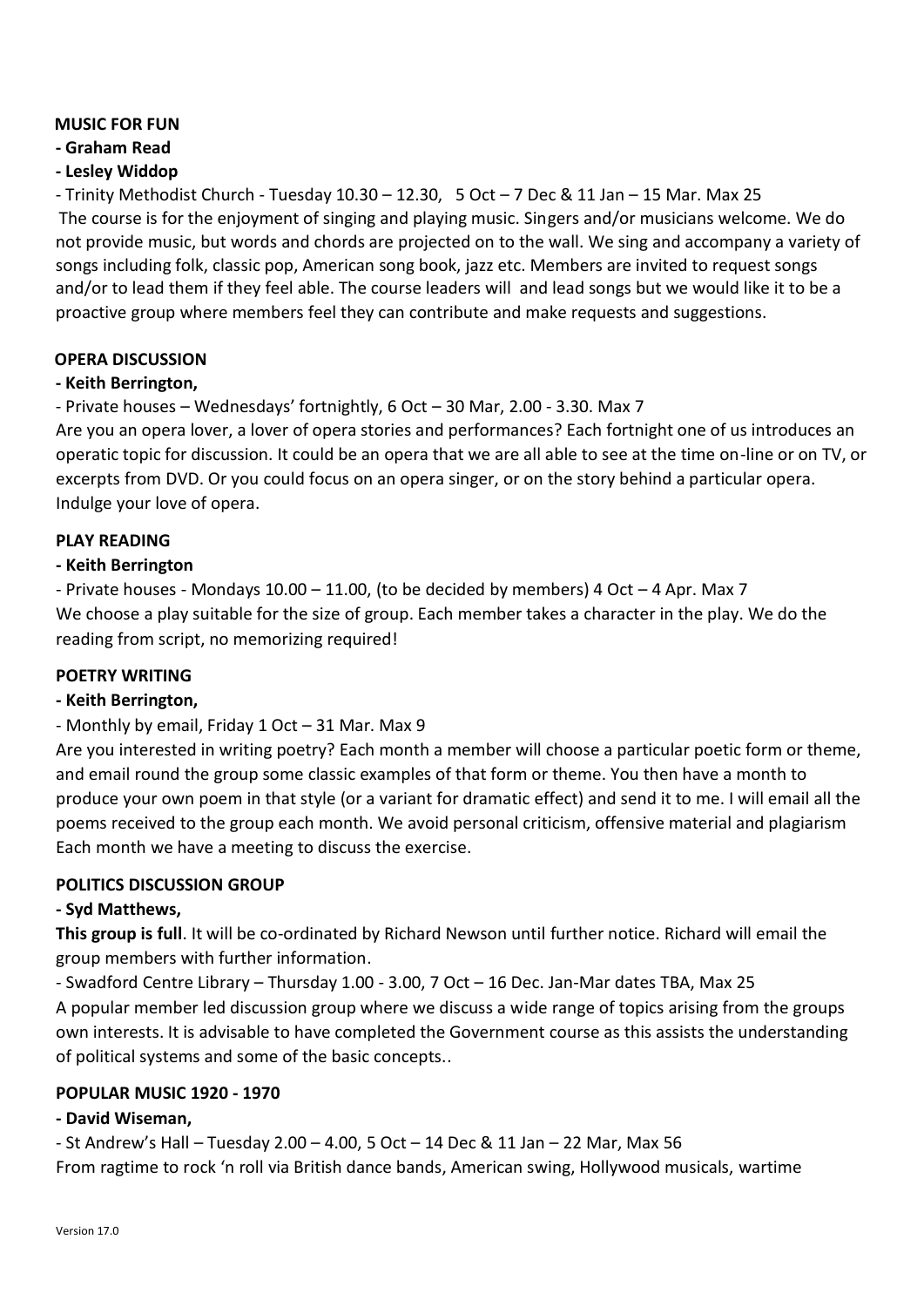#### **MUSIC FOR FUN**

#### **- Graham Read**

#### **- Lesley Widdop**

- Trinity Methodist Church - Tuesday 10.30 – 12.30, 5 Oct – 7 Dec & 11 Jan – 15 Mar. Max 25 The course is for the enjoyment of singing and playing music. Singers and/or musicians welcome. We do not provide music, but words and chords are projected on to the wall. We sing and accompany a variety of songs including folk, classic pop, American song book, jazz etc. Members are invited to request songs and/or to lead them if they feel able. The course leaders will and lead songs but we would like it to be a proactive group where members feel they can contribute and make requests and suggestions.

#### **OPERA DISCUSSION**

#### **- Keith Berrington,**

#### - Private houses – Wednesdays' fortnightly, 6 Oct – 30 Mar, 2.00 - 3.30. Max 7

Are you an opera lover, a lover of opera stories and performances? Each fortnight one of us introduces an operatic topic for discussion. It could be an opera that we are all able to see at the time on-line or on TV, or excerpts from DVD. Or you could focus on an opera singer, or on the story behind a particular opera. Indulge your love of opera.

#### **PLAY READING**

#### **- Keith Berrington**

- Private houses - Mondays 10.00 – 11.00, (to be decided by members) 4 Oct – 4 Apr. Max 7 We choose a play suitable for the size of group. Each member takes a character in the play. We do the reading from script, no memorizing required!

#### **POETRY WRITING**

#### **- Keith Berrington,**

#### - Monthly by email, Friday 1 Oct – 31 Mar. Max 9

Are you interested in writing poetry? Each month a member will choose a particular poetic form or theme, and email round the group some classic examples of that form or theme. You then have a month to produce your own poem in that style (or a variant for dramatic effect) and send it to me. I will email all the poems received to the group each month. We avoid personal criticism, offensive material and plagiarism Each month we have a meeting to discuss the exercise.

#### **POLITICS DISCUSSION GROUP**

#### **- Syd Matthews,**

**This group is full**. It will be co-ordinated by Richard Newson until further notice. Richard will email the group members with further information.

- Swadford Centre Library – Thursday 1.00 - 3.00, 7 Oct – 16 Dec. Jan-Mar dates TBA, Max 25 A popular member led discussion group where we discuss a wide range of topics arising from the groups own interests. It is advisable to have completed the Government course as this assists the understanding of political systems and some of the basic concepts..

#### **POPULAR MUSIC 1920 - 1970**

#### **- David Wiseman,**

- St Andrew's Hall – Tuesday 2.00 – 4.00, 5 Oct – 14 Dec & 11 Jan – 22 Mar, Max 56 From ragtime to rock 'n roll via British dance bands, American swing, Hollywood musicals, wartime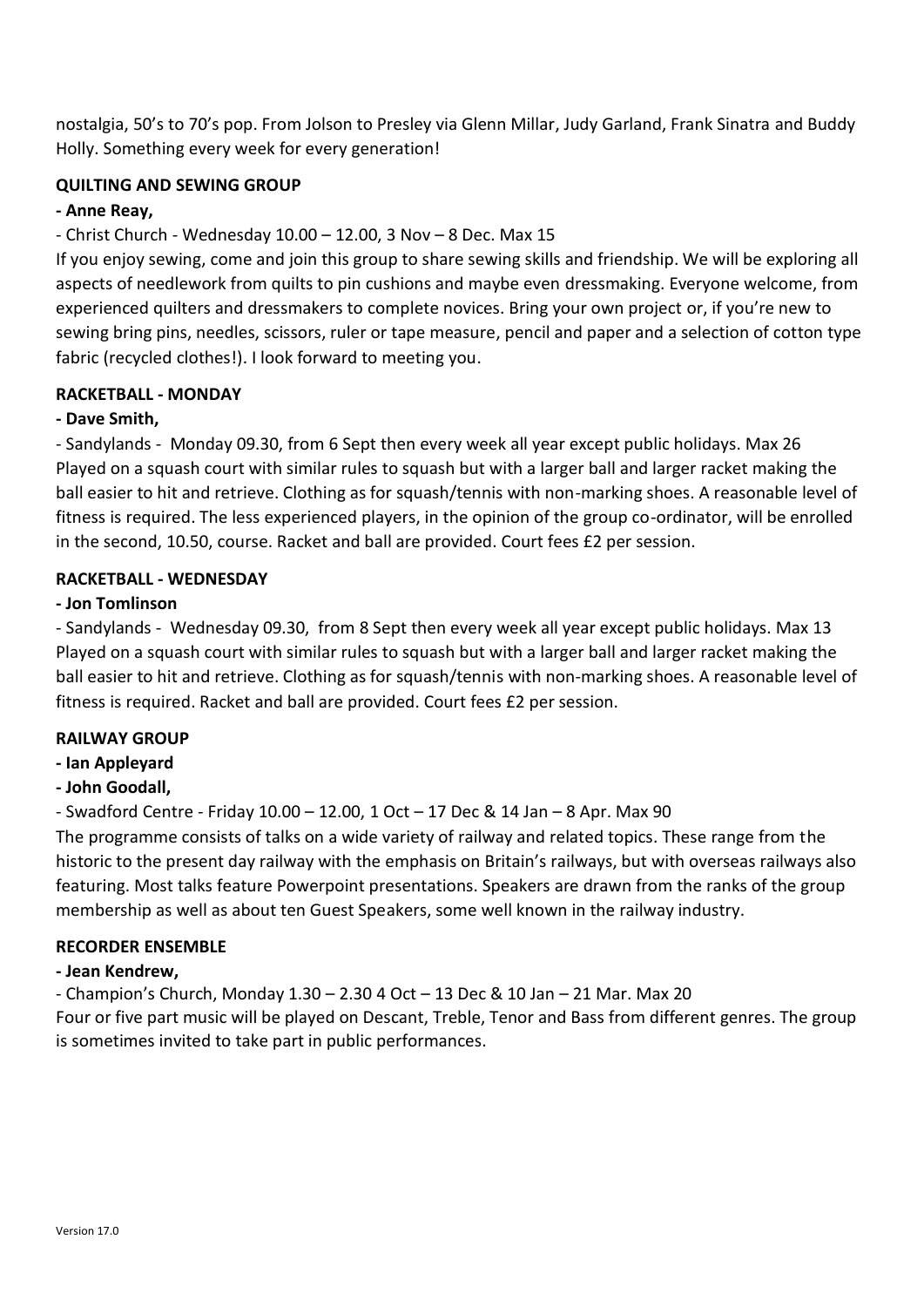nostalgia, 50's to 70's pop. From Jolson to Presley via Glenn Millar, Judy Garland, Frank Sinatra and Buddy Holly. Something every week for every generation!

#### **QUILTING AND SEWING GROUP**

#### **- Anne Reay,**

#### - Christ Church - Wednesday 10.00 – 12.00, 3 Nov – 8 Dec. Max 15

If you enjoy sewing, come and join this group to share sewing skills and friendship. We will be exploring all aspects of needlework from quilts to pin cushions and maybe even dressmaking. Everyone welcome, from experienced quilters and dressmakers to complete novices. Bring your own project or, if you're new to sewing bring pins, needles, scissors, ruler or tape measure, pencil and paper and a selection of cotton type fabric (recycled clothes!). I look forward to meeting you.

#### **RACKETBALL - MONDAY**

#### **- Dave Smith,**

- Sandylands - Monday 09.30, from 6 Sept then every week all year except public holidays. Max 26 Played on a squash court with similar rules to squash but with a larger ball and larger racket making the ball easier to hit and retrieve. Clothing as for squash/tennis with non-marking shoes. A reasonable level of fitness is required. The less experienced players, in the opinion of the group co-ordinator, will be enrolled in the second, 10.50, course. Racket and ball are provided. Court fees £2 per session.

#### **RACKETBALL - WEDNESDAY**

#### **- Jon Tomlinson**

- Sandylands - Wednesday 09.30, from 8 Sept then every week all year except public holidays. Max 13 Played on a squash court with similar rules to squash but with a larger ball and larger racket making the ball easier to hit and retrieve. Clothing as for squash/tennis with non-marking shoes. A reasonable level of fitness is required. Racket and ball are provided. Court fees £2 per session.

#### **RAILWAY GROUP**

**- Ian Appleyard** 

#### **- John Goodall,**

- Swadford Centre - Friday 10.00 – 12.00, 1 Oct – 17 Dec & 14 Jan – 8 Apr. Max 90

The programme consists of talks on a wide variety of railway and related topics. These range from the historic to the present day railway with the emphasis on Britain's railways, but with overseas railways also featuring. Most talks feature Powerpoint presentations. Speakers are drawn from the ranks of the group membership as well as about ten Guest Speakers, some well known in the railway industry.

#### **RECORDER ENSEMBLE**

#### **- Jean Kendrew,**

- Champion's Church, Monday 1.30 – 2.30 4 Oct – 13 Dec & 10 Jan – 21 Mar. Max 20 Four or five part music will be played on Descant, Treble, Tenor and Bass from different genres. The group is sometimes invited to take part in public performances.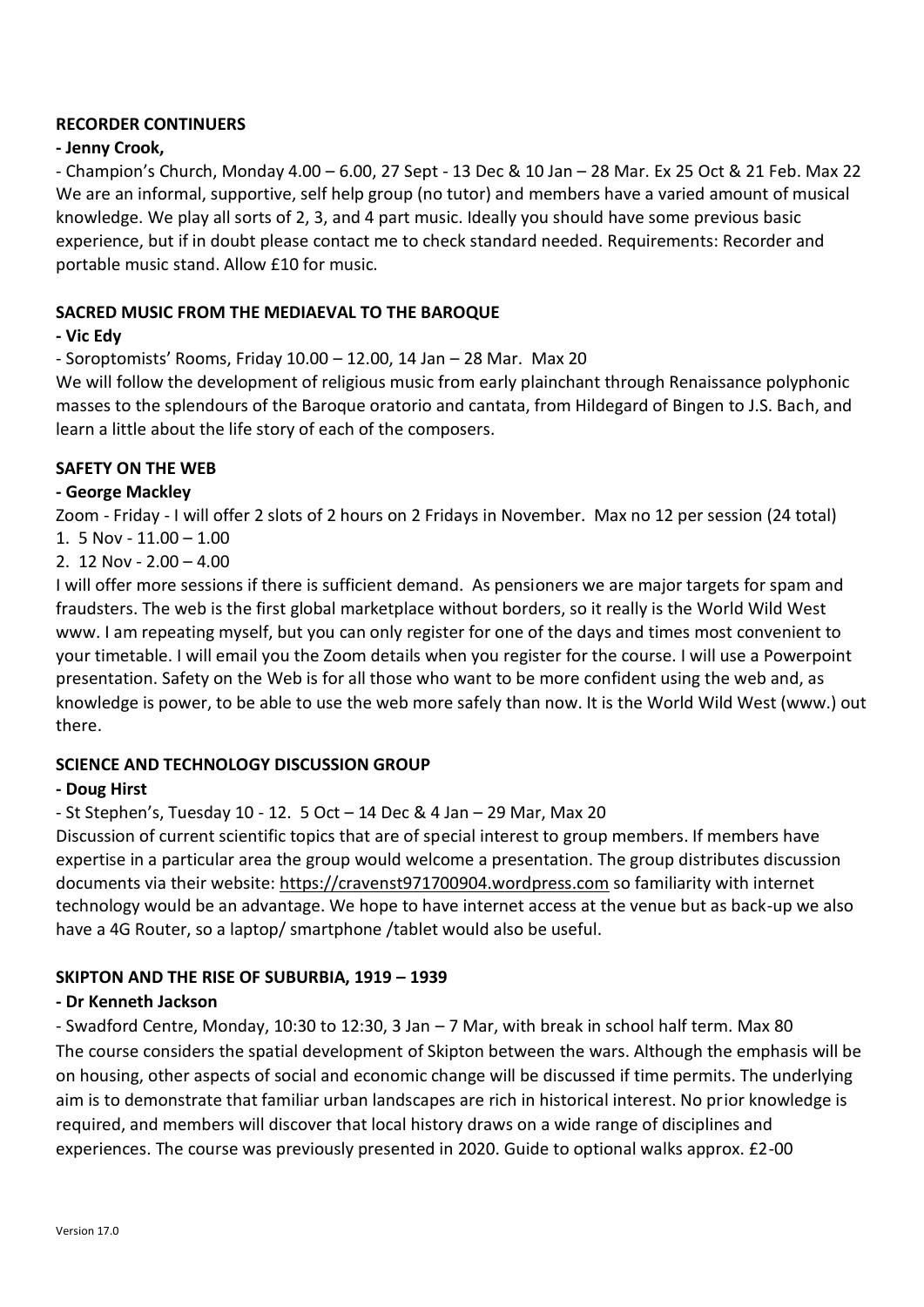#### **RECORDER CONTINUERS**

#### **- Jenny Crook,**

- Champion's Church, Monday 4.00 – 6.00, 27 Sept - 13 Dec & 10 Jan – 28 Mar. Ex 25 Oct & 21 Feb. Max 22 We are an informal, supportive, self help group (no tutor) and members have a varied amount of musical knowledge. We play all sorts of 2, 3, and 4 part music. Ideally you should have some previous basic experience, but if in doubt please contact me to check standard needed. Requirements: Recorder and portable music stand. Allow £10 for music.

#### **SACRED MUSIC FROM THE MEDIAEVAL TO THE BAROQUE**

#### **- Vic Edy**

- Soroptomists' Rooms, Friday 10.00 – 12.00, 14 Jan – 28 Mar. Max 20

We will follow the development of religious music from early plainchant through Renaissance polyphonic masses to the splendours of the Baroque oratorio and cantata, from Hildegard of Bingen to J.S. Bach, and learn a little about the life story of each of the composers.

#### **SAFETY ON THE WEB**

#### **- George Mackley**

Zoom - Friday - I will offer 2 slots of 2 hours on 2 Fridays in November. Max no 12 per session (24 total) 1. 5 Nov - 11.00 – 1.00

#### 2. 12 Nov -  $2.00 - 4.00$

I will offer more sessions if there is sufficient demand. As pensioners we are major targets for spam and fraudsters. The web is the first global marketplace without borders, so it really is the World Wild West www. I am repeating myself, but you can only register for one of the days and times most convenient to your timetable. I will email you the Zoom details when you register for the course. I will use a Powerpoint presentation. Safety on the Web is for all those who want to be more confident using the web and, as knowledge is power, to be able to use the web more safely than now. It is the World Wild West (www.) out there.

#### **SCIENCE AND TECHNOLOGY DISCUSSION GROUP**

#### **- Doug Hirst**

- St Stephen's, Tuesday 10 - 12. 5 Oct – 14 Dec & 4 Jan – 29 Mar, Max 20

Discussion of current scientific topics that are of special interest to group members. If members have expertise in a particular area the group would welcome a presentation. The group distributes discussion documents via their website: [https://cravenst971700904.wordpress.com](https://cravenst971700904.wordpress.com/) so familiarity with internet technology would be an advantage. We hope to have internet access at the venue but as back-up we also have a 4G Router, so a laptop/ smartphone /tablet would also be useful.

#### **SKIPTON AND THE RISE OF SUBURBIA, 1919 – 1939**

#### **- Dr Kenneth Jackson**

- Swadford Centre, Monday, 10:30 to 12:30, 3 Jan – 7 Mar, with break in school half term. Max 80 The course considers the spatial development of Skipton between the wars. Although the emphasis will be on housing, other aspects of social and economic change will be discussed if time permits. The underlying aim is to demonstrate that familiar urban landscapes are rich in historical interest. No prior knowledge is required, and members will discover that local history draws on a wide range of disciplines and experiences. The course was previously presented in 2020. Guide to optional walks approx. £2-00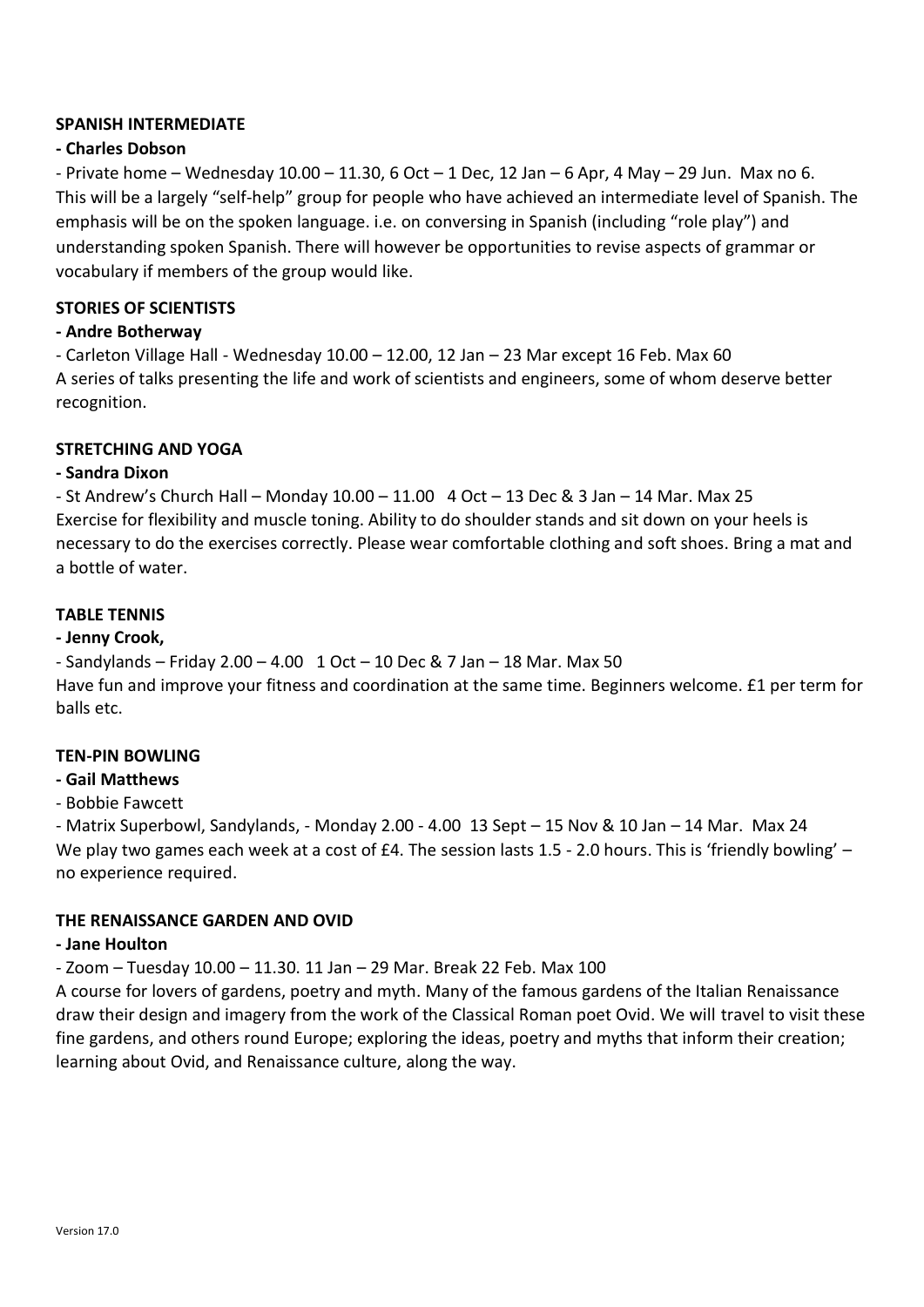#### **SPANISH INTERMEDIATE**

#### **- Charles Dobson**

- Private home – Wednesday 10.00 – 11.30, 6 Oct – 1 Dec, 12 Jan – 6 Apr, 4 May – 29 Jun. Max no 6. This will be a largely "self-help" group for people who have achieved an intermediate level of Spanish. The emphasis will be on the spoken language. i.e. on conversing in Spanish (including "role play") and understanding spoken Spanish. There will however be opportunities to revise aspects of grammar or vocabulary if members of the group would like.

#### **STORIES OF SCIENTISTS**

#### **- Andre Botherway**

- Carleton Village Hall - Wednesday 10.00 – 12.00, 12 Jan – 23 Mar except 16 Feb. Max 60 A series of talks presenting the life and work of scientists and engineers, some of whom deserve better recognition.

#### **STRETCHING AND YOGA**

#### **- Sandra Dixon**

- St Andrew's Church Hall – Monday 10.00 – 11.00 4 Oct – 13 Dec & 3 Jan – 14 Mar. Max 25 Exercise for flexibility and muscle toning. Ability to do shoulder stands and sit down on your heels is necessary to do the exercises correctly. Please wear comfortable clothing and soft shoes. Bring a mat and a bottle of water.

#### **TABLE TENNIS**

#### **- Jenny Crook,**

- Sandylands – Friday 2.00 – 4.00 1 Oct – 10 Dec & 7 Jan – 18 Mar. Max 50 Have fun and improve your fitness and coordination at the same time. Beginners welcome. £1 per term for balls etc.

#### **TEN-PIN BOWLING**

#### **- Gail Matthews**

#### - Bobbie Fawcett

- Matrix Superbowl, Sandylands, - Monday 2.00 - 4.00 13 Sept – 15 Nov & 10 Jan – 14 Mar. Max 24 We play two games each week at a cost of £4. The session lasts 1.5 - 2.0 hours. This is 'friendly bowling' – no experience required.

#### **THE RENAISSANCE GARDEN AND OVID**

#### **- Jane Houlton**

- Zoom – Tuesday 10.00 – 11.30. 11 Jan – 29 Mar. Break 22 Feb. Max 100

A course for lovers of gardens, poetry and myth. Many of the famous gardens of the Italian Renaissance draw their design and imagery from the work of the Classical Roman poet Ovid. We will travel to visit these fine gardens, and others round Europe; exploring the ideas, poetry and myths that inform their creation; learning about Ovid, and Renaissance culture, along the way.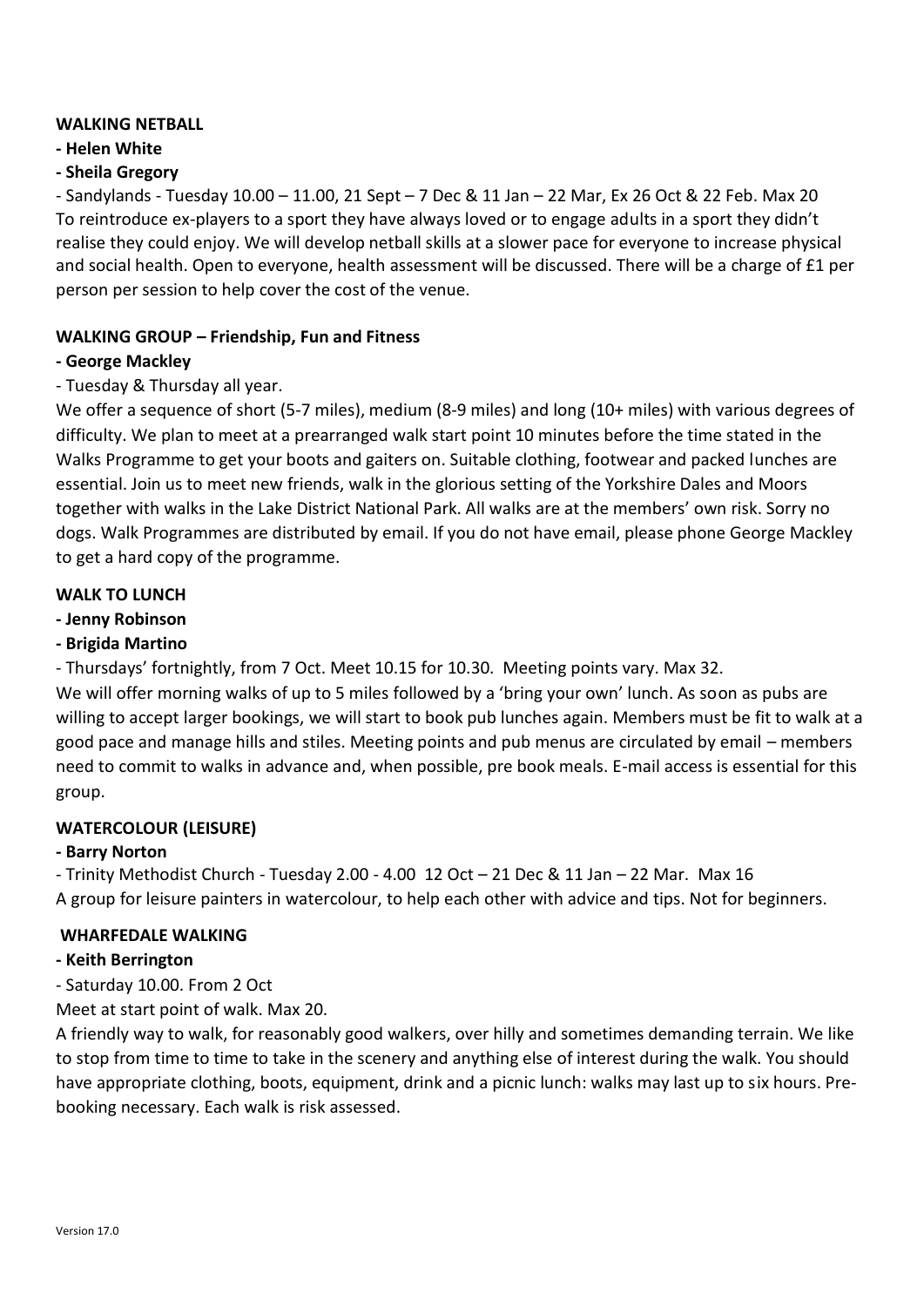#### **WALKING NETBALL**

#### **- Helen White**

#### **- Sheila Gregory**

- Sandylands - Tuesday 10.00 – 11.00, 21 Sept – 7 Dec & 11 Jan – 22 Mar, Ex 26 Oct & 22 Feb. Max 20 To reintroduce ex-players to a sport they have always loved or to engage adults in a sport they didn't realise they could enjoy. We will develop netball skills at a slower pace for everyone to increase physical and social health. Open to everyone, health assessment will be discussed. There will be a charge of £1 per person per session to help cover the cost of the venue.

#### **WALKING GROUP – Friendship, Fun and Fitness**

#### **- George Mackley**

#### - Tuesday & Thursday all year.

We offer a sequence of short (5-7 miles), medium (8-9 miles) and long (10+ miles) with various degrees of difficulty. We plan to meet at a prearranged walk start point 10 minutes before the time stated in the Walks Programme to get your boots and gaiters on. Suitable clothing, footwear and packed lunches are essential. Join us to meet new friends, walk in the glorious setting of the Yorkshire Dales and Moors together with walks in the Lake District National Park. All walks are at the members' own risk. Sorry no dogs. Walk Programmes are distributed by email. If you do not have email, please phone George Mackley to get a hard copy of the programme.

#### **WALK TO LUNCH**

#### **- Jenny Robinson**

#### **- Brigida Martino**

- Thursdays' fortnightly, from 7 Oct. Meet 10.15 for 10.30. Meeting points vary. Max 32.

We will offer morning walks of up to 5 miles followed by a 'bring your own' lunch. As soon as pubs are willing to accept larger bookings, we will start to book pub lunches again. Members must be fit to walk at a good pace and manage hills and stiles. Meeting points and pub menus are circulated by email – members need to commit to walks in advance and, when possible, pre book meals. E-mail access is essential for this group.

#### **WATERCOLOUR (LEISURE)**

#### **- Barry Norton**

- Trinity Methodist Church - Tuesday 2.00 - 4.00 12 Oct – 21 Dec & 11 Jan – 22 Mar. Max 16 A group for leisure painters in watercolour, to help each other with advice and tips. Not for beginners.

#### **WHARFEDALE WALKING**

#### **- Keith Berrington**

- Saturday 10.00. From 2 Oct

Meet at start point of walk. Max 20.

A friendly way to walk, for reasonably good walkers, over hilly and sometimes demanding terrain. We like to stop from time to time to take in the scenery and anything else of interest during the walk. You should have appropriate clothing, boots, equipment, drink and a picnic lunch: walks may last up to six hours. Prebooking necessary. Each walk is risk assessed.